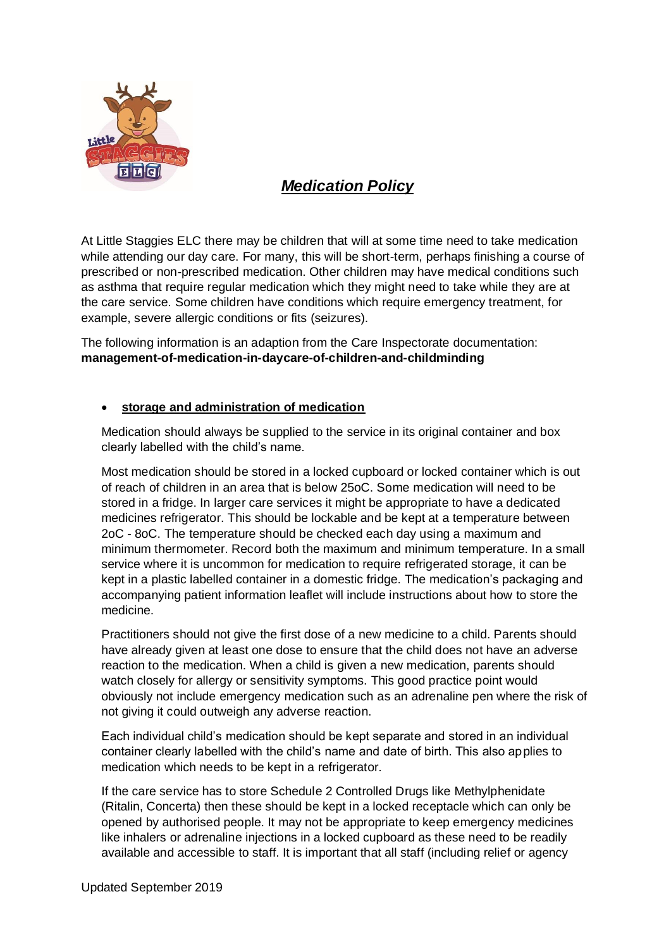

## *Medication Policy*

At Little Staggies ELC there may be children that will at some time need to take medication while attending our day care. For many, this will be short-term, perhaps finishing a course of prescribed or non-prescribed medication. Other children may have medical conditions such as asthma that require regular medication which they might need to take while they are at the care service. Some children have conditions which require emergency treatment, for example, severe allergic conditions or fits (seizures).

The following information is an adaption from the Care Inspectorate documentation: **management-of-medication-in-daycare-of-children-and-childminding**

## • **storage and administration of medication**

Medication should always be supplied to the service in its original container and box clearly labelled with the child's name.

Most medication should be stored in a locked cupboard or locked container which is out of reach of children in an area that is below 25oC. Some medication will need to be stored in a fridge. In larger care services it might be appropriate to have a dedicated medicines refrigerator. This should be lockable and be kept at a temperature between 2oC - 8oC. The temperature should be checked each day using a maximum and minimum thermometer. Record both the maximum and minimum temperature. In a small service where it is uncommon for medication to require refrigerated storage, it can be kept in a plastic labelled container in a domestic fridge. The medication's packaging and accompanying patient information leaflet will include instructions about how to store the medicine.

Practitioners should not give the first dose of a new medicine to a child. Parents should have already given at least one dose to ensure that the child does not have an adverse reaction to the medication. When a child is given a new medication, parents should watch closely for allergy or sensitivity symptoms. This good practice point would obviously not include emergency medication such as an adrenaline pen where the risk of not giving it could outweigh any adverse reaction.

Each individual child's medication should be kept separate and stored in an individual container clearly labelled with the child's name and date of birth. This also applies to medication which needs to be kept in a refrigerator.

If the care service has to store Schedule 2 Controlled Drugs like Methylphenidate (Ritalin, Concerta) then these should be kept in a locked receptacle which can only be opened by authorised people. It may not be appropriate to keep emergency medicines like inhalers or adrenaline injections in a locked cupboard as these need to be readily available and accessible to staff. It is important that all staff (including relief or agency